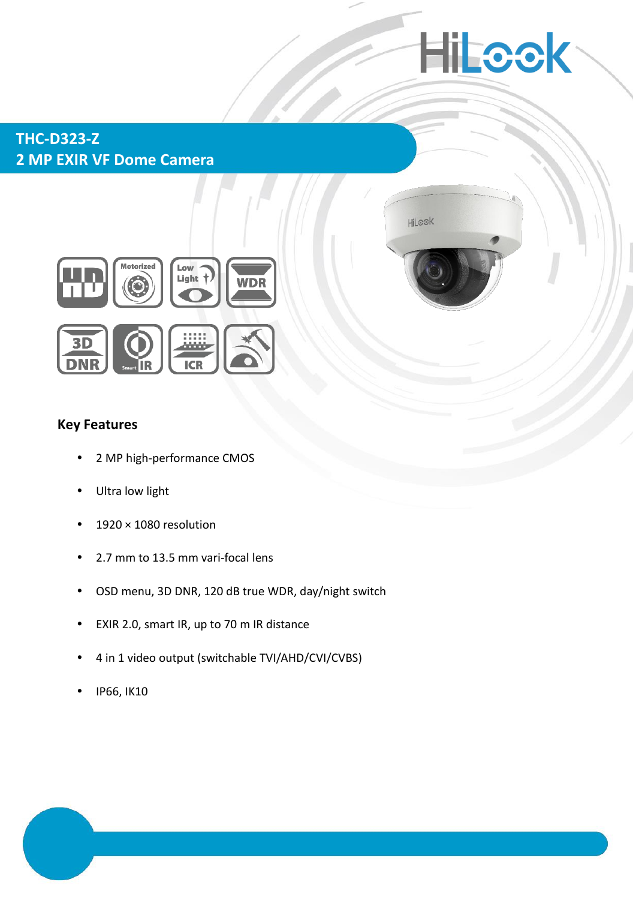# **Hilcok**

Hilook

## **THC-D323-Z 2 MP EXIR VF Dome Camera**



### **Key Features**

- 2 MP high-performance CMOS
- Ultra low light
- 1920 × 1080 resolution
- 2.7 mm to 13.5 mm vari-focal lens
- OSD menu, 3D DNR, 120 dB true WDR, day/night switch
- EXIR 2.0, smart IR, up to 70 m IR distance
- 4 in 1 video output (switchable TVI/AHD/CVI/CVBS)
- IP66, IK10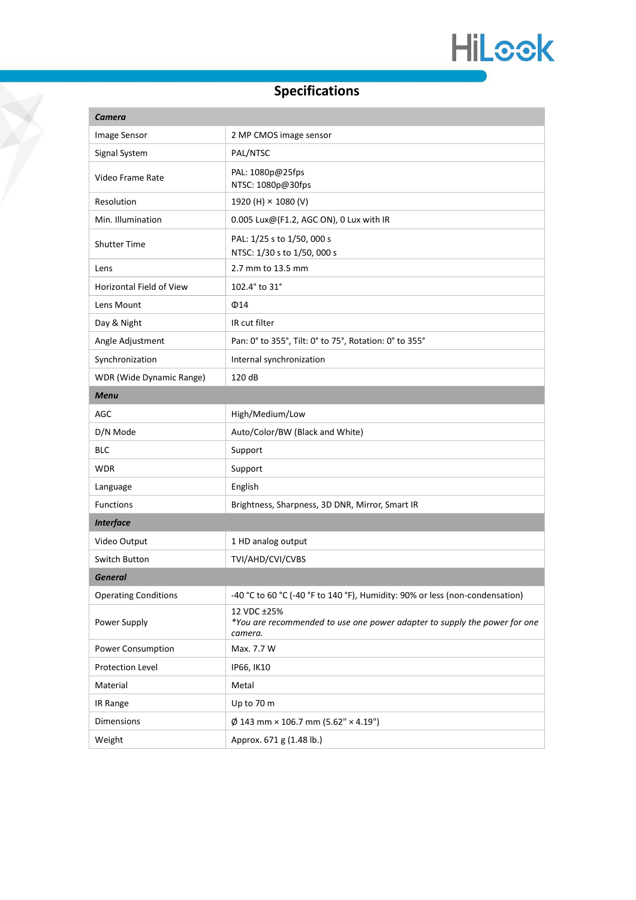## **Specifications**

Y

| Camera                          |                                                                                                     |
|---------------------------------|-----------------------------------------------------------------------------------------------------|
| Image Sensor                    | 2 MP CMOS image sensor                                                                              |
| Signal System                   | PAL/NTSC                                                                                            |
| Video Frame Rate                | PAL: 1080p@25fps<br>NTSC: 1080p@30fps                                                               |
| Resolution                      | 1920 (H) × 1080 (V)                                                                                 |
| Min. Illumination               | 0.005 Lux@(F1.2, AGC ON), 0 Lux with IR                                                             |
| <b>Shutter Time</b>             | PAL: 1/25 s to 1/50, 000 s<br>NTSC: 1/30 s to 1/50, 000 s                                           |
| Lens                            | 2.7 mm to 13.5 mm                                                                                   |
| <b>Horizontal Field of View</b> | 102.4° to 31°                                                                                       |
| Lens Mount                      | $\Phi$ 14                                                                                           |
| Day & Night                     | IR cut filter                                                                                       |
| Angle Adjustment                | Pan: 0° to 355°, Tilt: 0° to 75°, Rotation: 0° to 355°                                              |
| Synchronization                 | Internal synchronization                                                                            |
| WDR (Wide Dynamic Range)        | 120 dB                                                                                              |
| <b>Menu</b>                     |                                                                                                     |
| AGC                             | High/Medium/Low                                                                                     |
| D/N Mode                        | Auto/Color/BW (Black and White)                                                                     |
| <b>BLC</b>                      | Support                                                                                             |
| <b>WDR</b>                      | Support                                                                                             |
| Language                        | English                                                                                             |
| <b>Functions</b>                | Brightness, Sharpness, 3D DNR, Mirror, Smart IR                                                     |
| <b>Interface</b>                |                                                                                                     |
| Video Output                    | 1 HD analog output                                                                                  |
| Switch Button                   | TVI/AHD/CVI/CVBS                                                                                    |
| <b>General</b>                  |                                                                                                     |
| <b>Operating Conditions</b>     | -40 °C to 60 °C (-40 °F to 140 °F), Humidity: 90% or less (non-condensation)                        |
| Power Supply                    | 12 VDC ±25%<br>*You are recommended to use one power adapter to supply the power for one<br>camera. |
| Power Consumption               | Max. 7.7 W                                                                                          |
| Protection Level                | IP66, IK10                                                                                          |
| Material                        | Metal                                                                                               |
| IR Range                        | Up to 70 m                                                                                          |
| Dimensions                      | $\varnothing$ 143 mm × 106.7 mm (5.62" × 4.19")                                                     |
| Weight                          | Approx. 671 g (1.48 lb.)                                                                            |